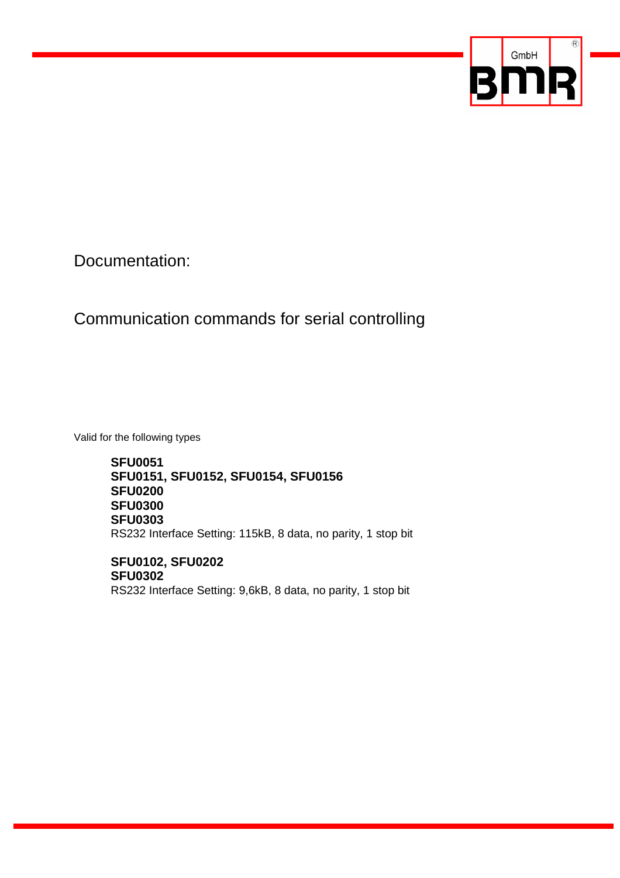

Documentation:

# Communication commands for serial controlling

Valid for the following types

**SFU0051 SFU0151, SFU0152, SFU0154, SFU0156 SFU0200 SFU0300 SFU0303**  RS232 Interface Setting: 115kB, 8 data, no parity, 1 stop bit

**SFU0102, SFU0202 SFU0302**  RS232 Interface Setting: 9,6kB, 8 data, no parity, 1 stop bit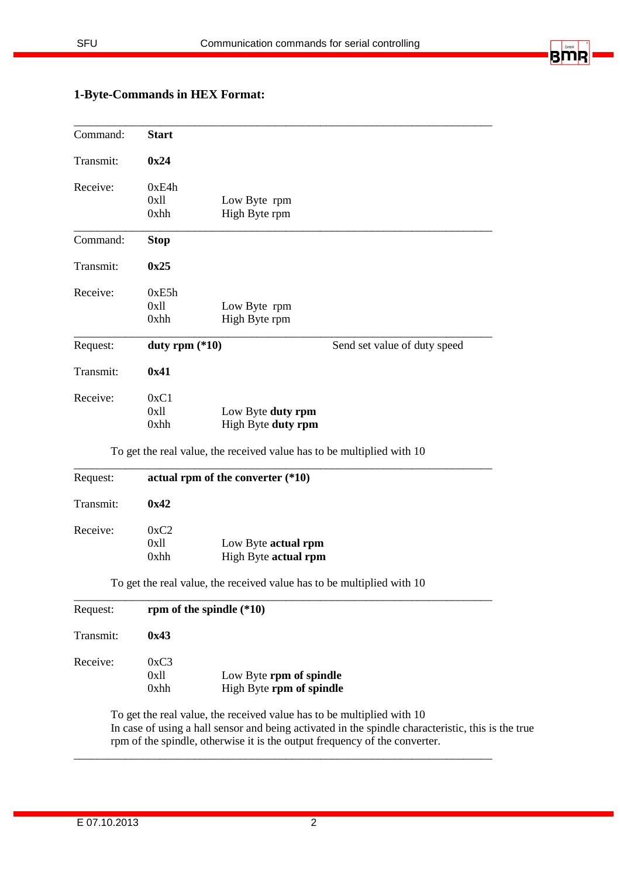

# **1-Byte-Commands in HEX Format:**  \_\_\_\_\_\_\_\_\_\_\_\_\_\_\_\_\_\_\_\_\_\_\_\_\_\_\_\_\_\_\_\_\_\_\_\_\_\_\_\_\_\_\_\_\_\_\_\_\_\_\_\_\_\_\_\_\_\_\_\_\_\_\_\_\_\_\_\_\_\_\_\_\_

| Command:  | <b>Start</b>             |                                         |                              |
|-----------|--------------------------|-----------------------------------------|------------------------------|
| Transmit: | 0x24                     |                                         |                              |
| Receive:  | 0xE4h<br>0x11<br>0xhh    | Low Byte rpm<br>High Byte rpm           |                              |
| Command:  | <b>Stop</b>              |                                         |                              |
| Transmit: | 0x25                     |                                         |                              |
| Receive:  | 0xE5h<br>$0x$ ll<br>0xhh | Low Byte rpm<br>High Byte rpm           |                              |
| Request:  | duty rpm $(*10)$         |                                         | Send set value of duty speed |
| Transmit: | 0x41                     |                                         |                              |
| Receive:  | 0xC1<br>$0x$ ll<br>0xhh  | Low Byte duty rpm<br>High Byte duty rpm |                              |

To get the real value, the received value has to be multiplied with 10

| Request:<br>actual rpm of the converter $(*10)$ |      |                      |
|-------------------------------------------------|------|----------------------|
| Transmit:                                       | 0x42 |                      |
| Receive:                                        | 0xC2 |                      |
|                                                 | 0xll | Low Byte actual rpm  |
|                                                 | 0xhh | High Byte actual rpm |

| Request:  | rpm of the spindle $(*10)$ |                                                     |  |
|-----------|----------------------------|-----------------------------------------------------|--|
| Transmit: | 0x43                       |                                                     |  |
| Receive:  | 0xC3<br>0x11<br>$0x$ hh    | Low Byte rpm of spindle<br>High Byte rpm of spindle |  |

To get the real value, the received value has to be multiplied with 10 In case of using a hall sensor and being activated in the spindle characteristic, this is the true rpm of the spindle, otherwise it is the output frequency of the converter.

\_\_\_\_\_\_\_\_\_\_\_\_\_\_\_\_\_\_\_\_\_\_\_\_\_\_\_\_\_\_\_\_\_\_\_\_\_\_\_\_\_\_\_\_\_\_\_\_\_\_\_\_\_\_\_\_\_\_\_\_\_\_\_\_\_\_\_\_\_\_\_\_\_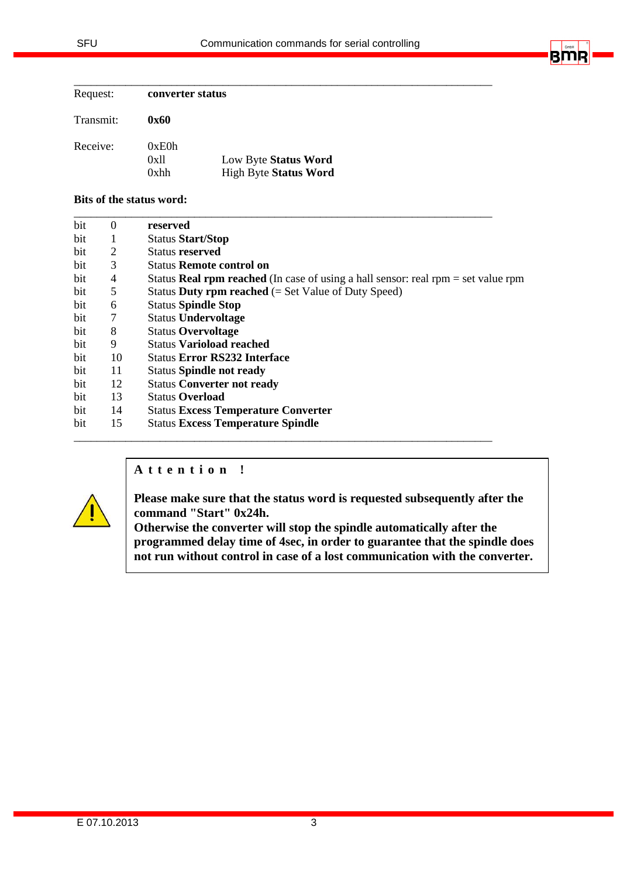|  | GmbH |  |
|--|------|--|
|  |      |  |
|  |      |  |
|  |      |  |

| Request:  | converter status |                              |
|-----------|------------------|------------------------------|
| Transmit: | 0x60             |                              |
| Receive:  | 0xE0h<br>0x11    | Low Byte Status Word         |
|           | $0x$ hh          | <b>High Byte Status Word</b> |

#### **Bits of the status word:**

| bit | $\Omega$ | reserved                                                                                   |
|-----|----------|--------------------------------------------------------------------------------------------|
| bit | 1        | <b>Status Start/Stop</b>                                                                   |
| bit | 2        | Status reserved                                                                            |
| bit | 3        | <b>Status Remote control on</b>                                                            |
| bit | 4        | Status <b>Real rpm reached</b> (In case of using a hall sensor: real rpm $=$ set value rpm |
| bit | 5        | Status Duty rpm reached $(= Set Value of Duty Speed)$                                      |
| bit | 6        | <b>Status Spindle Stop</b>                                                                 |
| bit | 7        | <b>Status Undervoltage</b>                                                                 |
| bit | 8        | <b>Status Overvoltage</b>                                                                  |
| bit | 9        | <b>Status Varioload reached</b>                                                            |
| bit | 10       | <b>Status Error RS232 Interface</b>                                                        |
| bit | 11       | <b>Status Spindle not ready</b>                                                            |
| bit | 12       | <b>Status Converter not ready</b>                                                          |
| bit | 13       | <b>Status Overload</b>                                                                     |
| bit | 14       | <b>Status Excess Temperature Converter</b>                                                 |
| bit | 15       | <b>Status Excess Temperature Spindle</b>                                                   |

#### **A t t e n t i o n !**



**Please make sure that the status word is requested subsequently after the command "Start" 0x24h.** 

**Otherwise the converter will stop the spindle automatically after the programmed delay time of 4sec, in order to guarantee that the spindle does not run without control in case of a lost communication with the converter.**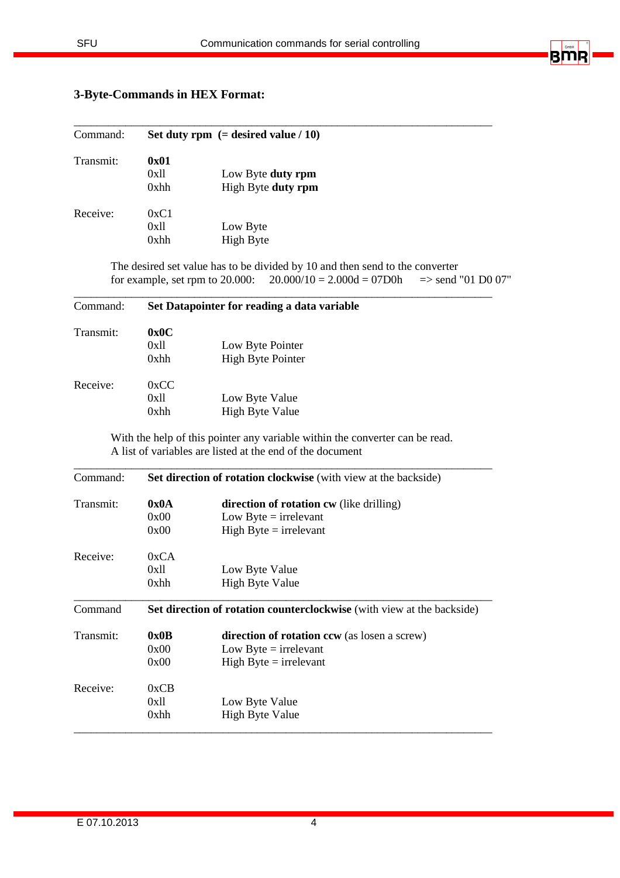\_\_\_\_\_\_\_\_\_\_\_\_\_\_\_\_\_\_\_\_\_\_\_\_\_\_\_\_\_\_\_\_\_\_\_\_\_\_\_\_\_\_\_\_\_\_\_\_\_\_\_\_\_\_\_\_\_\_\_\_\_\_\_\_\_\_\_\_\_\_\_\_\_



### **3-Byte-Commands in HEX Format:**

| Command:  | Set duty rpm $(=$ desired value $/ 10$ ) |                    |  |
|-----------|------------------------------------------|--------------------|--|
| Transmit: | 0x01                                     |                    |  |
|           | 0x11                                     | Low Byte duty rpm  |  |
|           | 0xhh                                     | High Byte duty rpm |  |
| Receive:  | 0xC1                                     |                    |  |
|           | 0x11                                     | Low Byte           |  |
|           | 0xhh                                     | <b>High Byte</b>   |  |

The desired set value has to be divided by 10 and then send to the converter for example, set rpm to 20.000:  $20.000/10 = 2.000d = 07D0h$  => send "01 D0 07"

\_\_\_\_\_\_\_\_\_\_\_\_\_\_\_\_\_\_\_\_\_\_\_\_\_\_\_\_\_\_\_\_\_\_\_\_\_\_\_\_\_\_\_\_\_\_\_\_\_\_\_\_\_\_\_\_\_\_\_\_\_\_\_\_\_\_\_\_\_\_\_\_\_

| Command:  | Set Datapointer for reading a data variable |                                              |  |
|-----------|---------------------------------------------|----------------------------------------------|--|
| Transmit: | 0x0C<br>0x11<br>0xhh                        | Low Byte Pointer<br><b>High Byte Pointer</b> |  |
| Receive:  | 0xCC<br>0x11<br>0xhh                        | Low Byte Value<br><b>High Byte Value</b>     |  |

With the help of this pointer any variable within the converter can be read. A list of variables are listed at the end of the document

| Command:  | <b>Set direction of rotation clockwise</b> (with view at the backside) |                                                                        |  |  |
|-----------|------------------------------------------------------------------------|------------------------------------------------------------------------|--|--|
| Transmit: | 0x0A                                                                   | <b>direction of rotation cw</b> (like drilling)                        |  |  |
|           | 0x00                                                                   | Low Byte $=$ irrelevant                                                |  |  |
|           | 0x00                                                                   | High Byte $=$ irrelevant                                               |  |  |
| Receive:  | 0xCA                                                                   |                                                                        |  |  |
|           | 0x11                                                                   | Low Byte Value                                                         |  |  |
|           | 0xhh                                                                   | <b>High Byte Value</b>                                                 |  |  |
| Command   |                                                                        | Set direction of rotation counterclockwise (with view at the backside) |  |  |
| Transmit: | 0x0B                                                                   | <b>direction of rotation ccw</b> (as losen a screw)                    |  |  |
|           | 0x00                                                                   | Low Byte $=$ irrelevant                                                |  |  |
|           | 0x00                                                                   | High Byte $=$ irrelevant                                               |  |  |
| Receive:  | 0xCB                                                                   |                                                                        |  |  |
|           | 0x11                                                                   | Low Byte Value                                                         |  |  |
|           | 0xhh                                                                   | <b>High Byte Value</b>                                                 |  |  |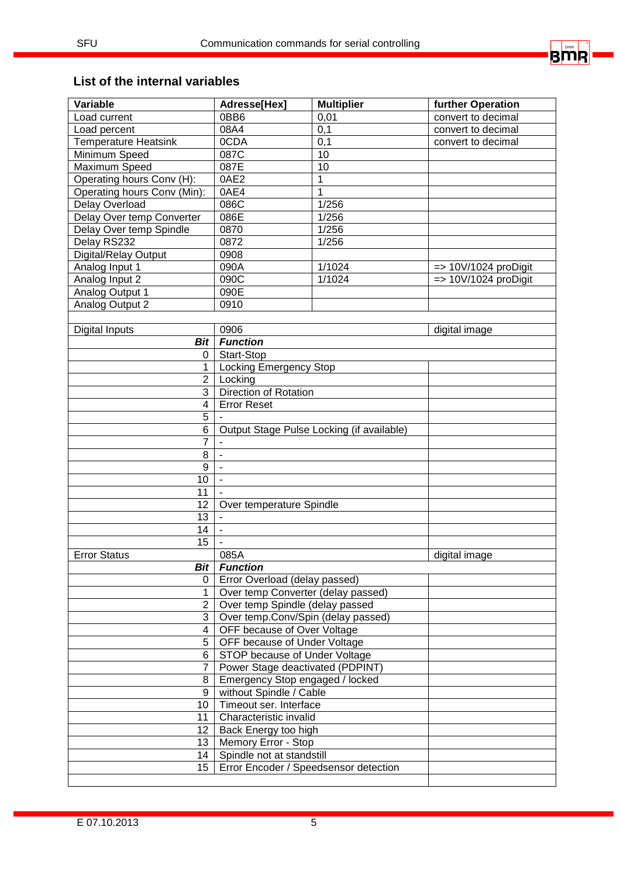

### **List of the internal variables**

| Variable                    | Adresse[Hex]                               | <b>Multiplier</b> | further Operation               |
|-----------------------------|--------------------------------------------|-------------------|---------------------------------|
| Load current                | 0BB6                                       | 0,01              | convert to decimal              |
| Load percent                | 08A4                                       | 0,1               | convert to decimal              |
| <b>Temperature Heatsink</b> | 0CDA                                       | 0,1               | convert to decimal              |
| Minimum Speed               | 087C                                       | 10                |                                 |
| Maximum Speed               | 087E                                       | 10                |                                 |
| Operating hours Conv (H):   | 0AE2                                       | 1                 |                                 |
| Operating hours Conv (Min): | 0AE4                                       | 1                 |                                 |
| Delay Overload              | 086C                                       | 1/256             |                                 |
| Delay Over temp Converter   | 086E                                       | 1/256             |                                 |
| Delay Over temp Spindle     | 0870                                       | 1/256             |                                 |
| Delay RS232                 | 0872                                       | 1/256             |                                 |
| Digital/Relay Output        | 0908                                       |                   |                                 |
| Analog Input 1              | 090A                                       | 1/1024            | $\Rightarrow$ 10V/1024 proDigit |
| Analog Input 2              | 090C                                       | 1/1024            | $\Rightarrow$ 10V/1024 proDigit |
| Analog Output 1             | 090E                                       |                   |                                 |
| Analog Output 2             | 0910                                       |                   |                                 |
|                             |                                            |                   |                                 |
| Digital Inputs              | 0906                                       |                   | digital image                   |
| <b>Bit</b>                  | <b>Function</b>                            |                   |                                 |
| 0                           | Start-Stop                                 |                   |                                 |
| 1                           | <b>Locking Emergency Stop</b>              |                   |                                 |
| $\overline{2}$              | Locking                                    |                   |                                 |
| 3                           | <b>Direction of Rotation</b>               |                   |                                 |
| $\overline{\mathbf{4}}$     | <b>Error Reset</b>                         |                   |                                 |
| $\overline{5}$              |                                            |                   |                                 |
| $\overline{6}$              | Output Stage Pulse Locking (if available)  |                   |                                 |
| 7                           |                                            |                   |                                 |
| 8                           | $\blacksquare$                             |                   |                                 |
| 9                           |                                            |                   |                                 |
| 10                          | $\overline{\phantom{m}}$                   |                   |                                 |
| 11                          |                                            |                   |                                 |
| 12                          | Over temperature Spindle                   |                   |                                 |
| 13                          |                                            |                   |                                 |
| 14                          |                                            |                   |                                 |
| 15                          |                                            |                   |                                 |
| <b>Error Status</b>         | 085A                                       |                   | digital image                   |
|                             | <b>Bit Function</b>                        |                   |                                 |
|                             | 0   Error Overload (delay passed)          |                   |                                 |
| 1                           | Over temp Converter (delay passed)         |                   |                                 |
| $\overline{2}$              | Over temp Spindle (delay passed            |                   |                                 |
| 3 <sup>1</sup>              | Over temp.Conv/Spin (delay passed)         |                   |                                 |
| $\overline{4}$              | OFF because of Over Voltage                |                   |                                 |
| 5                           | OFF because of Under Voltage               |                   |                                 |
| 6                           | STOP because of Under Voltage              |                   |                                 |
| $\overline{7}$              | Power Stage deactivated (PDPINT)           |                   |                                 |
| 8                           | Emergency Stop engaged / locked            |                   |                                 |
| 9                           | without Spindle / Cable                    |                   |                                 |
|                             | 10   Timeout ser. Interface                |                   |                                 |
| 11                          | Characteristic invalid                     |                   |                                 |
|                             | 12   Back Energy too high                  |                   |                                 |
|                             | 13   Memory Error - Stop                   |                   |                                 |
|                             | 14   Spindle not at standstill             |                   |                                 |
|                             | 15   Error Encoder / Speedsensor detection |                   |                                 |
|                             |                                            |                   |                                 |